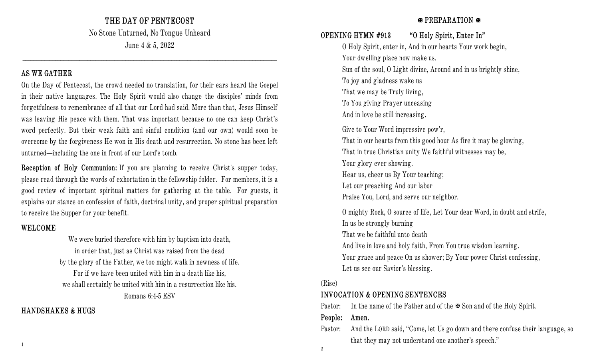**THE DAY OF PENTECOST**

No Stone Unturned, No Tongue Unheard June 4 & 5, 2022

## **AS WE GATHER**

On the Day of Pentecost, the crowd needed no translation, for their ears heard the Gospel in their native languages. The Holy Spirit would also change the disciples' minds from forgetfulness to remembrance of all that our Lord had said. More than that, Jesus Himself was leaving His peace with them. That was important because no one can keep Christ's word perfectly. But their weak faith and sinful condition (and our own) would soon be overcome by the forgiveness He won in His death and resurrection. No stone has been left unturned—including the one in front of our Lord's tomb.

**Reception of Holy Communion:** If you are planning to receive Christ's supper today, please read through the words of exhortation in the fellowship folder. For members, it is a good review of important spiritual matters for gathering at the table. For guests, it explains our stance on confession of faith, doctrinal unity, and proper spiritual preparation to receive the Supper for your benefit.

# **WELCOME**

We were buried therefore with him by baptism into death, in order that, just as Christ was raised from the dead by the glory of the Father, we too might walk in newness of life. For if we have been united with him in a death like his, we shall certainly be united with him in a resurrection like his. Romans 6:4-5 ESV

# **HANDSHAKES & HUGS**

# **PREPARATION**

# **OPENING HYMN #913 "O Holy Spirit, Enter In"**

O Holy Spirit, enter in, And in our hearts Your work begin, Your dwelling place now make us. Sun of the soul, O Light divine, Around and in us brightly shine, To joy and gladness wake us That we may be Truly living, To You giving Prayer unceasing And in love be still increasing. Give to Your Word impressive pow'r, That in our hearts from this good hour As fire it may be glowing, That in true Christian unity We faithful witnesses may be, Your glory ever showing. Hear us, cheer us By Your teaching; Let our preaching And our labor Praise You, Lord, and serve our neighbor. O mighty Rock, O source of life, Let Your dear Word, in doubt and strife, In us be strongly burning That we be faithful unto death And live in love and holy faith, From You true wisdom learning. Your grace and peace On us shower; By Your power Christ confessing, Let us see our Savior's blessing.

## (Rise)

# **INVOCATION & OPENING SENTENCES**

Pastor: In the name of the Father and of the  $\blacktriangleright$  Son and of the Holy Spirit.

#### **People: Amen.**

Pastor: And the LORD said, "Come, let Us go down and there confuse their language, so that they may not understand one another's speech."

2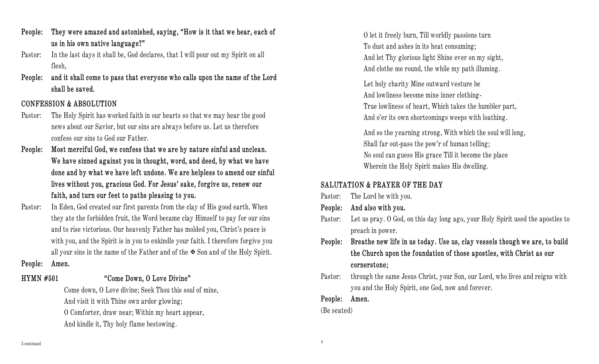- **People: They were amazed and astonished, saying, "How is it that we hear, each of us in his own native language?"**
- Pastor: In the last days it shall be, God declares, that I will pour out my Spirit on all flesh,
- **People: and it shall come to pass that everyone who calls upon the name of the Lord shall be saved.**

#### **CONFESSION & ABSOLUTION**

- Pastor: The Holy Spirit has worked faith in our hearts so that we may hear the good news about our Savior, but our sins are always before us. Let us therefore confess our sins to God our Father.
- **People: Most merciful God, we confess that we are by nature sinful and unclean. We have sinned against you in thought, word, and deed, by what we have done and by what we have left undone. We are helpless to amend our sinful lives without you, gracious God. For Jesus' sake, forgive us, renew our faith, and turn our feet to paths pleasing to you.**
- Pastor: In Eden, God created our first parents from the clay of His good earth. When they ate the forbidden fruit, the Word became clay Himself to pay for our sins and to rise victorious. Our heavenly Father has molded you, Christ's peace is with you, and the Spirit is in you to enkindle your faith. I therefore forgive you all your sins in the name of the Father and of the  $\mathfrak{B}$  Son and of the Holy Spirit.

#### **People: Amen.**

# **HYMN #501 "Come Down, O Love Divine"**

Come down, O Love divine; Seek Thou this soul of mine, And visit it with Thine own ardor glowing; O Comforter, draw near; Within my heart appear, And kindle it, Thy holy flame bestowing.

O let it freely burn, Till worldly passions turn To dust and ashes in its heat consuming; And let Thy glorious light Shine ever on my sight, And clothe me round, the while my path illuming.

Let holy charity Mine outward vesture be And lowliness become mine inner clothing-True lowliness of heart, Which takes the humbler part, And o'er its own shortcomings weeps with loathing.

And so the yearning strong, With which the soul will long, Shall far out-pass the pow'r of human telling; No soul can guess His grace Till it become the place Wherein the Holy Spirit makes His dwelling.

# **SALUTATION & PRAYER OF THE DAY**

- Pastor: The Lord be with you.
- **People: And also with you.**
- Pastor: Let us pray. O God, on this day long ago, your Holy Spirit used the apostles to preach in power.
- **People: Breathe new life in us today. Use us, clay vessels though we are, to build the Church upon the foundation of those apostles, with Christ as our cornerstone;**
- Pastor: through the same Jesus Christ, your Son, our Lord, who lives and reigns with you and the Holy Spirit, one God, now and forever.

**People: Amen.**

#### (Be seated)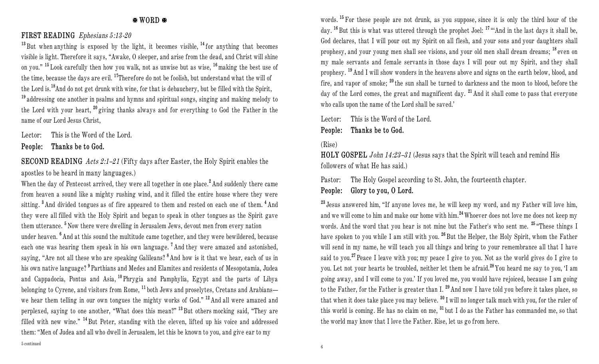#### **WORD**

## **FIRST READING** *Ephesians 5:13-20*

**<sup>13</sup>** But when anything is exposed by the light, it becomes visible, **<sup>14</sup>** for anything that becomes visible is light. Therefore it says, "Awake, O sleeper, and arise from the dead, and Christ will shine on you." **<sup>15</sup>** Look carefully then how you walk, not as unwise but as wise, **<sup>16</sup>**making the best use of the time, because the days are evil. **<sup>17</sup>**Therefore do not be foolish, but understand what the will of the Lord is.**<sup>18</sup>**And do not get drunk with wine, for that is debauchery, but be filled with the Spirit, **<sup>19</sup>** addressing one another in psalms and hymns and spiritual songs, singing and making melody to the Lord with your heart, **<sup>20</sup>** giving thanks always and for everything to God the Father in the name of our Lord Jesus Christ,

Lector: This is the Word of the Lord.

**People: Thanks be to God.**

**SECOND READING** *Acts 2:1–21* (Fifty days after Easter, the Holy Spirit enables the apostles to be heard in many languages.)

When the day of Pentecost arrived, they were all together in one place.**<sup>2</sup>** And suddenly there came from heaven a sound like a mighty rushing wind, and it filled the entire house where they were sitting. **<sup>3</sup>** And divided tongues as of fire appeared to them and rested on each one of them. **<sup>4</sup>** And they were all filled with the Holy Spirit and began to speak in other tongues as the Spirit gave them utterance. **<sup>5</sup>** Now there were dwelling in Jerusalem Jews, devout men from every nation under heaven. **<sup>6</sup>** And at this sound the multitude came together, and they were bewildered, because each one was hearing them speak in his own language. **<sup>7</sup>** And they were amazed and astonished, saying, "Are not all these who are speaking Galileans? **<sup>8</sup>** And how is it that we hear, each of us in his own native language? **<sup>9</sup>** Parthians and Medes and Elamites and residents of Mesopotamia, Judea and Cappadocia, Pontus and Asia, **<sup>10</sup>** Phrygia and Pamphylia, Egypt and the parts of Libya belonging to Cyrene, and visitors from Rome, **<sup>11</sup>** both Jews and proselytes, Cretans and Arabians we hear them telling in our own tongues the mighty works of God." **<sup>12</sup>** And all were amazed and perplexed, saying to one another, "What does this mean?" **<sup>13</sup>** But others mocking said, "They are filled with new wine." **<sup>14</sup>** But Peter, standing with the eleven, lifted up his voice and addressed them: "Men of Judea and all who dwell in Jerusalem, let this be known to you, and give ear to my

words. <sup>15</sup> For these people are not drunk, as you suppose, since it is only the third hour of the day. **<sup>16</sup>** But this is what was uttered through the prophet Joel: **<sup>17</sup>** "'And in the last days it shall be, God declares, that I will pour out my Spirit on all flesh, and your sons and your daughters shall prophesy, and your young men shall see visions, and your old men shall dream dreams; **<sup>18</sup>** even on my male servants and female servants in those days I will pour out my Spirit, and they shall prophesy. **<sup>19</sup>** And I will show wonders in the heavens above and signs on the earth below, blood, and fire, and vapor of smoke; **<sup>20</sup>** the sun shall be turned to darkness and the moon to blood, before the day of the Lord comes, the great and magnificent day. **<sup>21</sup>** And it shall come to pass that everyone who calls upon the name of the Lord shall be saved.'

Lector: This is the Word of the Lord.

**People: Thanks be to God.**

#### (Rise)

**HOLY GOSPEL** *John 14:23–31* (Jesus says that the Spirit will teach and remind His followers of what He has said.)

Pastor: The Holy Gospel according to St. John, the fourteenth chapter.

# **People: Glory to you, O Lord.**

**<sup>23</sup>** Jesus answered him, "If anyone loves me, he will keep my word, and my Father will love him, and we will come to him and make our home with him.**<sup>24</sup>**Whoever does not love me does not keep my words. And the word that you hear is not mine but the Father's who sent me. **<sup>25</sup>** "These things I have spoken to you while I am still with you. **<sup>26</sup>** But the Helper, the Holy Spirit, whom the Father will send in my name, he will teach you all things and bring to your remembrance all that I have said to you.**<sup>27</sup>** Peace I leave with you; my peace I give to you. Not as the world gives do I give to you. Let not your hearts be troubled, neither let them be afraid.**<sup>28</sup>** You heard me say to you, 'I am going away, and I will come to you.' If you loved me, you would have rejoiced, because I am going to the Father, for the Father is greater than I. **<sup>29</sup>** And now I have told you before it takes place, so that when it does take place you may believe. **<sup>30</sup>** I will no longer talk much with you, for the ruler of this world is coming. He has no claim on me, **<sup>31</sup>** but I do as the Father has commanded me, so that the world may know that I love the Father. Rise, let us go from here.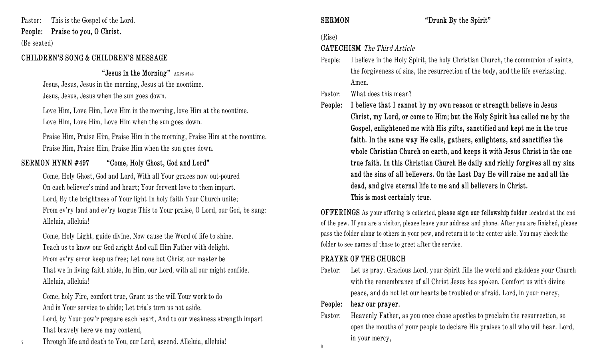Pastor: This is the Gospel of the Lord. **People: Praise to you, O Christ.** (Be seated)

### **CHILDREN'S SONG & CHILDREN'S MESSAGE**

#### **"Jesus in the Morning"** AGPS #143

Jesus, Jesus, Jesus in the morning, Jesus at the noontime. Jesus, Jesus, Jesus when the sun goes down.

Love Him, Love Him, Love Him in the morning, love Him at the noontime. Love Him, Love Him, Love Him when the sun goes down.

Praise Him, Praise Him, Praise Him in the morning, Praise Him at the noontime. Praise Him, Praise Him, Praise Him when the sun goes down.

# **SERMON HYMN #497 "Come, Holy Ghost, God and Lord"**

Come, Holy Ghost, God and Lord, With all Your graces now out-poured On each believer's mind and heart; Your fervent love to them impart. Lord, By the brightness of Your light In holy faith Your Church unite; From ev'ry land and ev'ry tongue This to Your praise, O Lord, our God, be sung: Alleluia, alleluia!

Come, Holy Light, guide divine, Now cause the Word of life to shine. Teach us to know our God aright And call Him Father with delight. From ev'ry error keep us free; Let none but Christ our master be That we in living faith abide, In Him, our Lord, with all our might confide. Alleluia, alleluia!

Come, holy Fire, comfort true, Grant us the will Your work to do And in Your service to abide; Let trials turn us not aside.

Lord, by Your pow'r prepare each heart, And to our weakness strength impart That bravely here we may contend,

<sup>7</sup>Through life and death to You, our Lord, ascend. Alleluia, alleluia!

**SERMON "Drunk By the Spirit"**

# (Rise)

# **CATECHISM** *The Third Article*

People: I believe in the Holy Spirit, the holy Christian Church, the communion of saints, the forgiveness of sins, the resurrection of the body, and the life everlasting. Amen.

Pastor: What does this mean?

**People: I believe that I cannot by my own reason or strength believe in Jesus Christ, my Lord, or come to Him; but the Holy Spirit has called me by the Gospel, enlightened me with His gifts, sanctified and kept me in the true faith. In the same way He calls, gathers, enlightens, and sanctifies the whole Christian Church on earth, and keeps it with Jesus Christ in the one true faith. In this Christian Church He daily and richly forgives all my sins and the sins of all believers. On the Last Day He will raise me and all the dead, and give eternal life to me and all believers in Christ. This is most certainly true.**

**OFFERINGS** As your offering is collected, **please sign our fellowship folder** located at the end of the pew. If you are a visitor, please leave your address and phone. After you are finished, please pass the folder along to others in your pew, and return it to the center aisle. You may check the folder to see names of those to greet after the service.

# **PRAYER OF THE CHURCH**

Pastor: Let us pray. Gracious Lord, your Spirit fills the world and gladdens your Church with the remembrance of all Christ Jesus has spoken. Comfort us with divine peace, and do not let our hearts be troubled or afraid. Lord, in your mercy,

# **People: hear our prayer.**

Pastor: Heavenly Father, as you once chose apostles to proclaim the resurrection, so open the mouths of your people to declare His praises to all who will hear. Lord, in your mercy,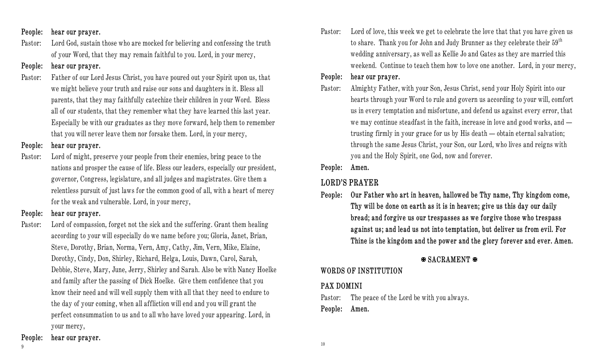#### **People: hear our prayer.**

Pastor: Lord God, sustain those who are mocked for believing and confessing the truth of your Word, that they may remain faithful to you. Lord, in your mercy,

## **People: hear our prayer.**

Pastor: Father of our Lord Jesus Christ, you have poured out your Spirit upon us, that we might believe your truth and raise our sons and daughters in it. Bless all parents, that they may faithfully catechize their children in your Word. Bless all of our students, that they remember what they have learned this last year. Especially be with our graduates as they move forward, help them to remember that you will never leave them nor forsake them. Lord, in your mercy,

## **People: hear our prayer.**

Pastor: Lord of might, preserve your people from their enemies, bring peace to the nations and prosper the cause of life. Bless our leaders, especially our president, governor, Congress, legislature, and all judges and magistrates. Give them a relentless pursuit of just laws for the common good of all, with a heart of mercy for the weak and vulnerable. Lord, in your mercy,

# **People: hear our prayer.**

Pastor: Lord of compassion, forget not the sick and the suffering. Grant them healing according to your will especially do we name before you; Gloria, Janet, Brian, Steve, Dorothy, Brian, Norma, Vern, Amy, Cathy, Jim, Vern, Mike, Elaine, Dorothy, Cindy, Don, Shirley, Richard, Helga, Louis, Dawn, Carol, Sarah, Debbie, Steve, Mary, June, Jerry, Shirley and Sarah. Also be with Nancy Hoelke and family after the passing of Dick Hoelke. Give them confidence that you know their need and will well supply them with all that they need to endure to the day of your coming, when all affliction will end and you will grant the perfect consummation to us and to all who have loved your appearing. Lord, in your mercy,

Pastor: Lord of love, this week we get to celebrate the love that that you have given us to share. Thank you for John and Judy Brunner as they celebrate their  $59<sup>th</sup>$ wedding anniversary, as well as Kellie Jo and Gates as they are married this weekend. Continue to teach them how to love one another. Lord, in your mercy,

# **People: hear our prayer.**

Pastor: Almighty Father, with your Son, Jesus Christ, send your Holy Spirit into our hearts through your Word to rule and govern us according to your will, comfort us in every temptation and misfortune, and defend us against every error, that we may continue steadfast in the faith, increase in love and good works, and trusting firmly in your grace for us by His death — obtain eternal salvation; through the same Jesus Christ, your Son, our Lord, who lives and reigns with you and the Holy Spirit, one God, now and forever.

**People: Amen.**

# **LORD'S PRAYER**

**People: Our Father who art in heaven, hallowed be Thy name, Thy kingdom come, Thy will be done on earth as it is in heaven; give us this day our daily bread; and forgive us our trespasses as we forgive those who trespass against us; and lead us not into temptation, but deliver us from evil. For Thine is the kingdom and the power and the glory forever and ever. Amen.**

# **SACRAMENT**

# **WORDS OF INSTITUTION**

# **PAX DOMINI**

Pastor: The peace of the Lord be with you always.

**People: Amen.**

## **People: hear our prayer.**

9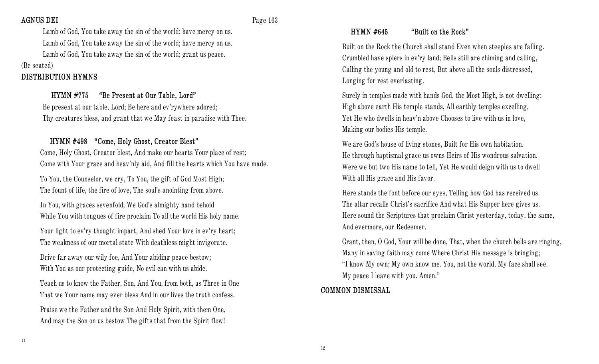### **AGNUS DEI** Page 163

Lamb of God, You take away the sin of the world; have mercy on us. Lamb of God, You take away the sin of the world; have mercy on us. Lamb of God, You take away the sin of the world; grant us peace.

(Be seated)

# **DISTRIBUTION HYMNS**

# **HYMN #775 "Be Present at Our Table, Lord"**

Be present at our table, Lord; Be here and ev'rywhere adored; Thy creatures bless, and grant that we May feast in paradise with Thee.

# **HYMN #498 "Come, Holy Ghost, Creator Blest"**

Come, Holy Ghost, Creator blest, And make our hearts Your place of rest; Come with Your grace and heav'nly aid, And fill the hearts which You have made.

To You, the Counselor, we cry, To You, the gift of God Most High; The fount of life, the fire of love, The soul's anointing from above.

In You, with graces sevenfold, We God's almighty hand behold While You with tongues of fire proclaim To all the world His holy name.

Your light to ev'ry thought impart, And shed Your love in ev'ry heart; The weakness of our mortal state With deathless might invigorate.

Drive far away our wily foe, And Your abiding peace bestow; With You as our protecting guide, No evil can with us abide.

Teach us to know the Father, Son, And You, from both, as Three in One That we Your name may ever bless And in our lives the truth confess.

Praise we the Father and the Son And Holy Spirit, with them One, And may the Son on us bestow The gifts that from the Spirit flow!

# **HYMN #645 "Built on the Rock"**

Built on the Rock the Church shall stand Even when steeples are falling. Crumbled have spiers in ev'ry land; Bells still are chiming and calling, Calling the young and old to rest, But above all the souls distressed, Longing for rest everlasting.

Surely in temples made with hands God, the Most High, is not dwelling; High above earth His temple stands, All earthly temples excelling, Yet He who dwells in heav'n above Chooses to live with us in love, Making our bodies His temple.

We are God's house of living stones, Built for His own habitation. He through baptismal grace us owns Heirs of His wondrous salvation. Were we but two His name to tell, Yet He would deign with us to dwell With all His grace and His favor.

Here stands the font before our eyes, Telling how God has received us. The altar recalls Christ's sacrifice And what His Supper here gives us. Here sound the Scriptures that proclaim Christ yesterday, today, the same, And evermore, our Redeemer.

Grant, then, O God, Your will be done, That, when the church bells are ringing, Many in saving faith may come Where Christ His message is bringing; "I know My own; My own know me. You, not the world, My face shall see. My peace I leave with you. Amen."

# **COMMON DISMISSAL**